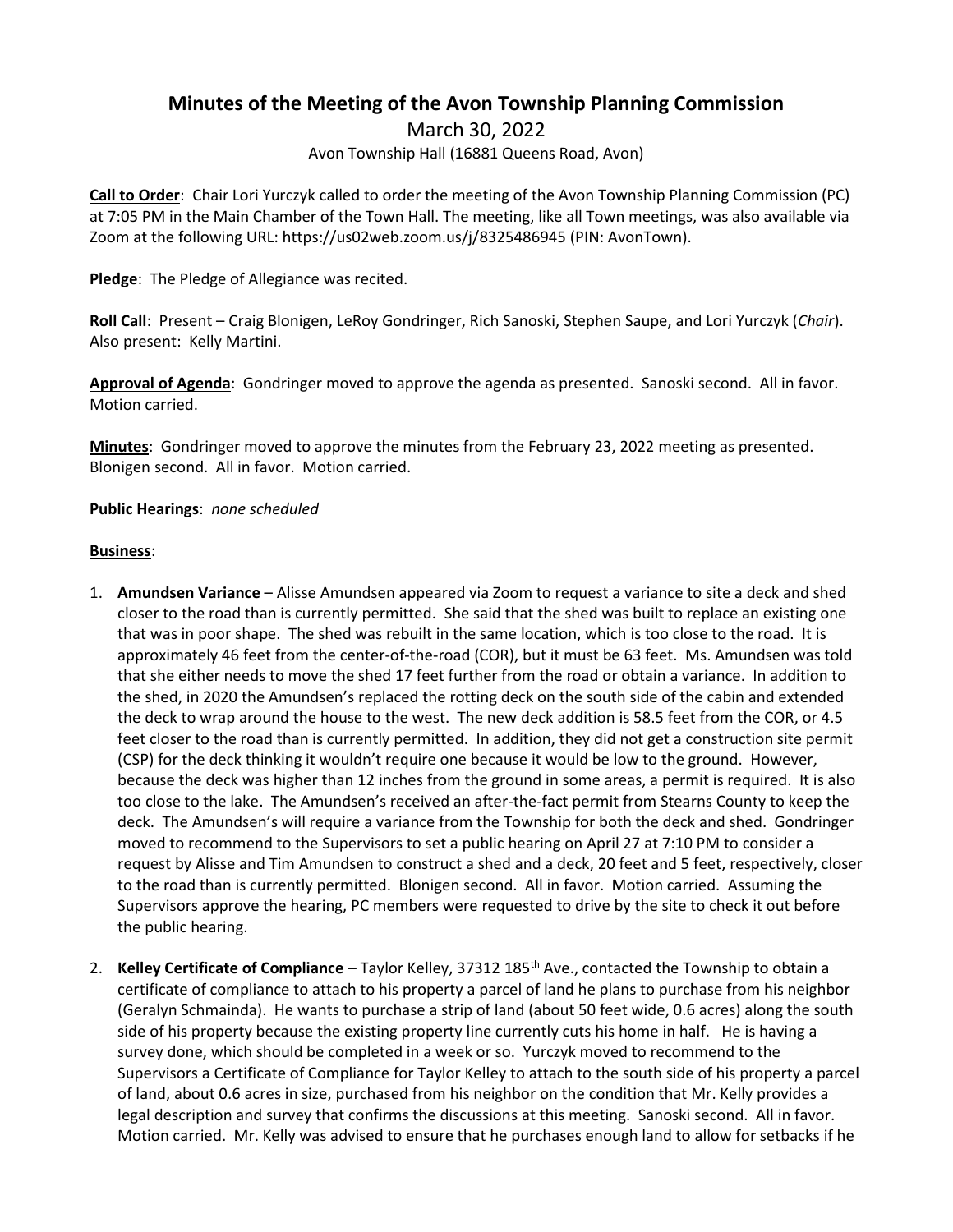## **Minutes of the Meeting of the Avon Township Planning Commission**

March 30, 2022 Avon Township Hall (16881 Queens Road, Avon)

**Call to Order**: Chair Lori Yurczyk called to order the meeting of the Avon Township Planning Commission (PC) at 7:05 PM in the Main Chamber of the Town Hall. The meeting, like all Town meetings, was also available via Zoom at the following URL: https://us02web.zoom.us/j/8325486945 (PIN: AvonTown).

**Pledge**: The Pledge of Allegiance was recited.

**Roll Call**: Present – Craig Blonigen, LeRoy Gondringer, Rich Sanoski, Stephen Saupe, and Lori Yurczyk (*Chair*). Also present: Kelly Martini.

**Approval of Agenda**: Gondringer moved to approve the agenda as presented. Sanoski second. All in favor. Motion carried.

**Minutes**: Gondringer moved to approve the minutes from the February 23, 2022 meeting as presented. Blonigen second. All in favor. Motion carried.

## **Public Hearings**: *none scheduled*

## **Business**:

- 1. **Amundsen Variance** Alisse Amundsen appeared via Zoom to request a variance to site a deck and shed closer to the road than is currently permitted. She said that the shed was built to replace an existing one that was in poor shape. The shed was rebuilt in the same location, which is too close to the road. It is approximately 46 feet from the center-of-the-road (COR), but it must be 63 feet. Ms. Amundsen was told that she either needs to move the shed 17 feet further from the road or obtain a variance. In addition to the shed, in 2020 the Amundsen's replaced the rotting deck on the south side of the cabin and extended the deck to wrap around the house to the west. The new deck addition is 58.5 feet from the COR, or 4.5 feet closer to the road than is currently permitted. In addition, they did not get a construction site permit (CSP) for the deck thinking it wouldn't require one because it would be low to the ground. However, because the deck was higher than 12 inches from the ground in some areas, a permit is required. It is also too close to the lake. The Amundsen's received an after-the-fact permit from Stearns County to keep the deck. The Amundsen's will require a variance from the Township for both the deck and shed. Gondringer moved to recommend to the Supervisors to set a public hearing on April 27 at 7:10 PM to consider a request by Alisse and Tim Amundsen to construct a shed and a deck, 20 feet and 5 feet, respectively, closer to the road than is currently permitted. Blonigen second. All in favor. Motion carried. Assuming the Supervisors approve the hearing, PC members were requested to drive by the site to check it out before the public hearing.
- 2. **Kelley Certificate of Compliance** Taylor Kelley, 37312 185th Ave., contacted the Township to obtain a certificate of compliance to attach to his property a parcel of land he plans to purchase from his neighbor (Geralyn Schmainda). He wants to purchase a strip of land (about 50 feet wide, 0.6 acres) along the south side of his property because the existing property line currently cuts his home in half. He is having a survey done, which should be completed in a week or so. Yurczyk moved to recommend to the Supervisors a Certificate of Compliance for Taylor Kelley to attach to the south side of his property a parcel of land, about 0.6 acres in size, purchased from his neighbor on the condition that Mr. Kelly provides a legal description and survey that confirms the discussions at this meeting. Sanoski second. All in favor. Motion carried. Mr. Kelly was advised to ensure that he purchases enough land to allow for setbacks if he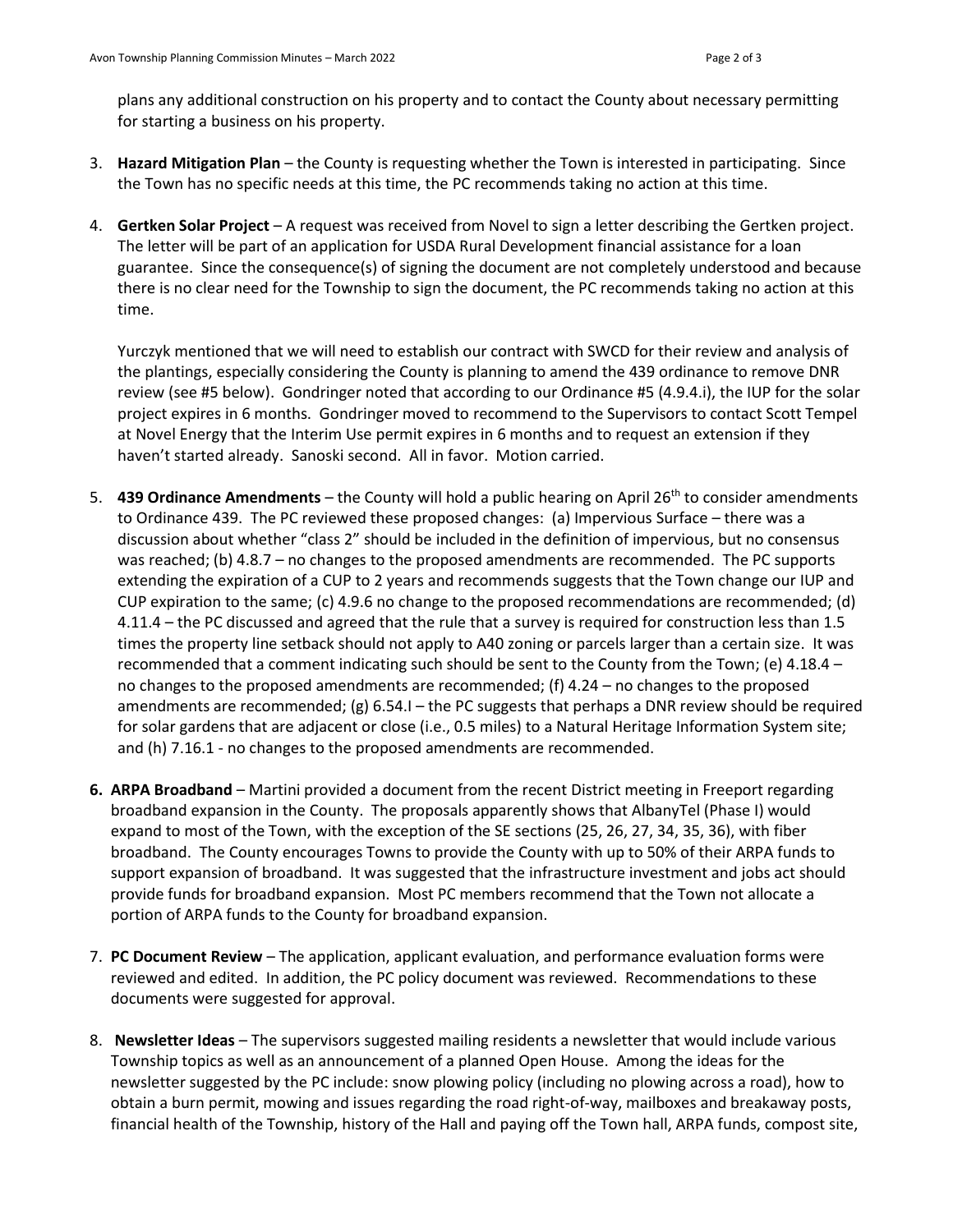plans any additional construction on his property and to contact the County about necessary permitting for starting a business on his property.

- 3. **Hazard Mitigation Plan** the County is requesting whether the Town is interested in participating. Since the Town has no specific needs at this time, the PC recommends taking no action at this time.
- 4. **Gertken Solar Project** A request was received from Novel to sign a letter describing the Gertken project. The letter will be part of an application for USDA Rural Development financial assistance for a loan guarantee. Since the consequence(s) of signing the document are not completely understood and because there is no clear need for the Township to sign the document, the PC recommends taking no action at this time.

Yurczyk mentioned that we will need to establish our contract with SWCD for their review and analysis of the plantings, especially considering the County is planning to amend the 439 ordinance to remove DNR review (see #5 below). Gondringer noted that according to our Ordinance #5 (4.9.4.i), the IUP for the solar project expires in 6 months. Gondringer moved to recommend to the Supervisors to contact Scott Tempel at Novel Energy that the Interim Use permit expires in 6 months and to request an extension if they haven't started already. Sanoski second. All in favor. Motion carried.

- 5. **439 Ordinance Amendments** the County will hold a public hearing on April 26th to consider amendments to Ordinance 439. The PC reviewed these proposed changes: (a) Impervious Surface – there was a discussion about whether "class 2" should be included in the definition of impervious, but no consensus was reached; (b) 4.8.7 – no changes to the proposed amendments are recommended. The PC supports extending the expiration of a CUP to 2 years and recommends suggests that the Town change our IUP and CUP expiration to the same; (c) 4.9.6 no change to the proposed recommendations are recommended; (d) 4.11.4 – the PC discussed and agreed that the rule that a survey is required for construction less than 1.5 times the property line setback should not apply to A40 zoning or parcels larger than a certain size. It was recommended that a comment indicating such should be sent to the County from the Town; (e) 4.18.4 – no changes to the proposed amendments are recommended; (f) 4.24 – no changes to the proposed amendments are recommended; (g) 6.54.I – the PC suggests that perhaps a DNR review should be required for solar gardens that are adjacent or close (i.e., 0.5 miles) to a Natural Heritage Information System site; and (h) 7.16.1 - no changes to the proposed amendments are recommended.
- **6. ARPA Broadband** Martini provided a document from the recent District meeting in Freeport regarding broadband expansion in the County. The proposals apparently shows that AlbanyTel (Phase I) would expand to most of the Town, with the exception of the SE sections (25, 26, 27, 34, 35, 36), with fiber broadband. The County encourages Towns to provide the County with up to 50% of their ARPA funds to support expansion of broadband. It was suggested that the infrastructure investment and jobs act should provide funds for broadband expansion. Most PC members recommend that the Town not allocate a portion of ARPA funds to the County for broadband expansion.
- 7. **PC Document Review** The application, applicant evaluation, and performance evaluation forms were reviewed and edited. In addition, the PC policy document was reviewed. Recommendations to these documents were suggested for approval.
- 8. **Newsletter Ideas** The supervisors suggested mailing residents a newsletter that would include various Township topics as well as an announcement of a planned Open House. Among the ideas for the newsletter suggested by the PC include: snow plowing policy (including no plowing across a road), how to obtain a burn permit, mowing and issues regarding the road right-of-way, mailboxes and breakaway posts, financial health of the Township, history of the Hall and paying off the Town hall, ARPA funds, compost site,